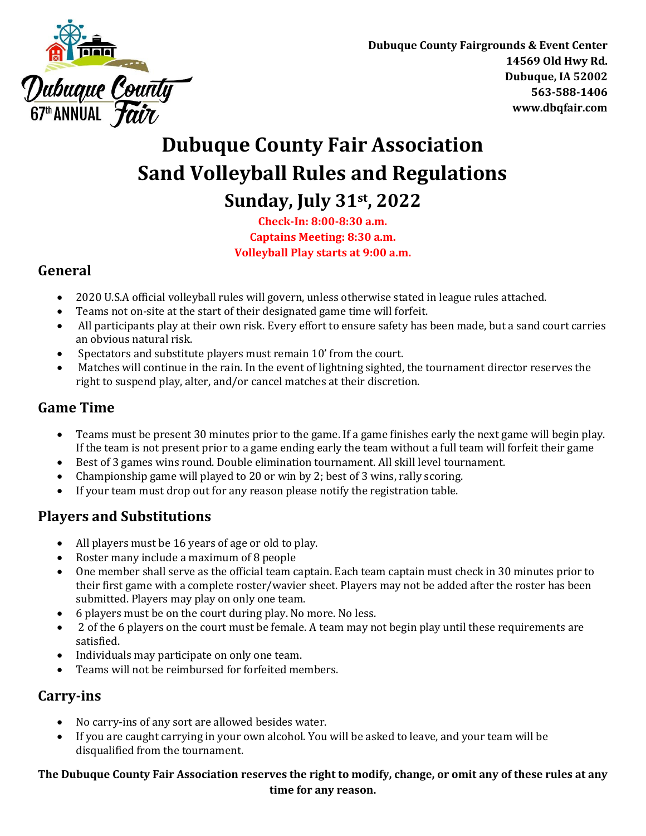

**Dubuque County Fairgrounds & Event Center 14569 Old Hwy Rd. Dubuque, IA 52002 563-588-1406 www.dbqfair.com**

## **Dubuque County Fair Association Sand Volleyball Rules and Regulations Sunday, July 31st , 2022**

**Check-In: 8:00-8:30 a.m. Captains Meeting: 8:30 a.m. Volleyball Play starts at 9:00 a.m.**

#### **General**

- 2020 U.S.A official volleyball rules will govern, unless otherwise stated in league rules attached.
- Teams not on-site at the start of their designated game time will forfeit.
- All participants play at their own risk. Every effort to ensure safety has been made, but a sand court carries an obvious natural risk.
- Spectators and substitute players must remain 10' from the court.
- Matches will continue in the rain. In the event of lightning sighted, the tournament director reserves the right to suspend play, alter, and/or cancel matches at their discretion.

### **Game Time**

- Teams must be present 30 minutes prior to the game. If a game finishes early the next game will begin play. If the team is not present prior to a game ending early the team without a full team will forfeit their game
- Best of 3 games wins round. Double elimination tournament. All skill level tournament.
- Championship game will played to 20 or win by 2; best of 3 wins, rally scoring.
- If your team must drop out for any reason please notify the registration table.

## **Players and Substitutions**

- All players must be 16 years of age or old to play.
- Roster many include a maximum of 8 people
- One member shall serve as the official team captain. Each team captain must check in 30 minutes prior to their first game with a complete roster/wavier sheet. Players may not be added after the roster has been submitted. Players may play on only one team.
- 6 players must be on the court during play. No more. No less.
- 2 of the 6 players on the court must be female. A team may not begin play until these requirements are satisfied.
- Individuals may participate on only one team.
- Teams will not be reimbursed for forfeited members.

#### **Carry-ins**

- No carry-ins of any sort are allowed besides water.
- If you are caught carrying in your own alcohol. You will be asked to leave, and your team will be disqualified from the tournament.

#### **The Dubuque County Fair Association reserves the right to modify, change, or omit any of these rules at any time for any reason.**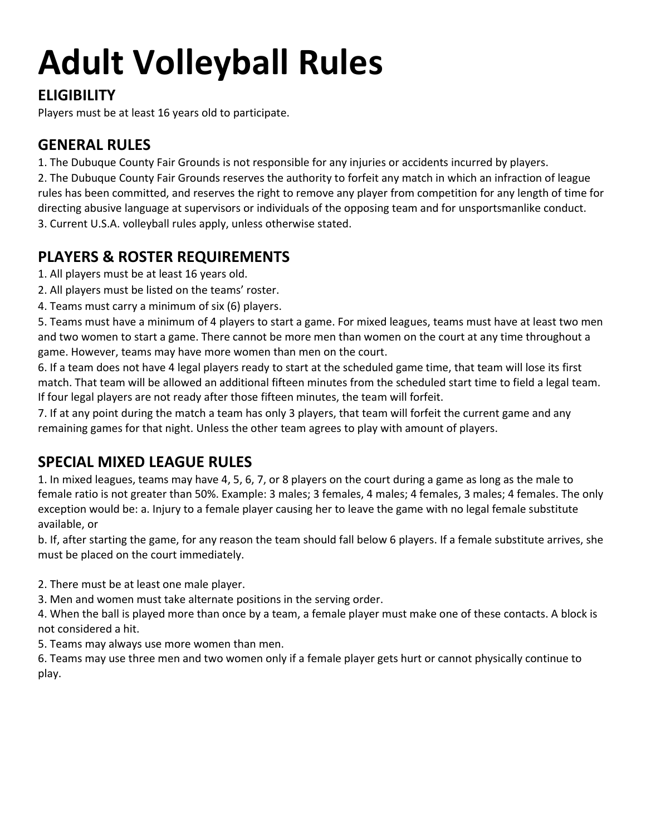# **Adult Volleyball Rules**

## **ELIGIBILITY**

Players must be at least 16 years old to participate.

## **GENERAL RULES**

1. The Dubuque County Fair Grounds is not responsible for any injuries or accidents incurred by players.

2. The Dubuque County Fair Grounds reserves the authority to forfeit any match in which an infraction of league rules has been committed, and reserves the right to remove any player from competition for any length of time for directing abusive language at supervisors or individuals of the opposing team and for unsportsmanlike conduct. 3. Current U.S.A. volleyball rules apply, unless otherwise stated.

## **PLAYERS & ROSTER REQUIREMENTS**

- 1. All players must be at least 16 years old.
- 2. All players must be listed on the teams' roster.
- 4. Teams must carry a minimum of six (6) players.

5. Teams must have a minimum of 4 players to start a game. For mixed leagues, teams must have at least two men and two women to start a game. There cannot be more men than women on the court at any time throughout a game. However, teams may have more women than men on the court.

6. If a team does not have 4 legal players ready to start at the scheduled game time, that team will lose its first match. That team will be allowed an additional fifteen minutes from the scheduled start time to field a legal team. If four legal players are not ready after those fifteen minutes, the team will forfeit.

7. If at any point during the match a team has only 3 players, that team will forfeit the current game and any remaining games for that night. Unless the other team agrees to play with amount of players.

## **SPECIAL MIXED LEAGUE RULES**

1. In mixed leagues, teams may have 4, 5, 6, 7, or 8 players on the court during a game as long as the male to female ratio is not greater than 50%. Example: 3 males; 3 females, 4 males; 4 females, 3 males; 4 females. The only exception would be: a. Injury to a female player causing her to leave the game with no legal female substitute available, or

b. If, after starting the game, for any reason the team should fall below 6 players. If a female substitute arrives, she must be placed on the court immediately.

2. There must be at least one male player.

3. Men and women must take alternate positions in the serving order.

4. When the ball is played more than once by a team, a female player must make one of these contacts. A block is not considered a hit.

5. Teams may always use more women than men.

6. Teams may use three men and two women only if a female player gets hurt or cannot physically continue to play.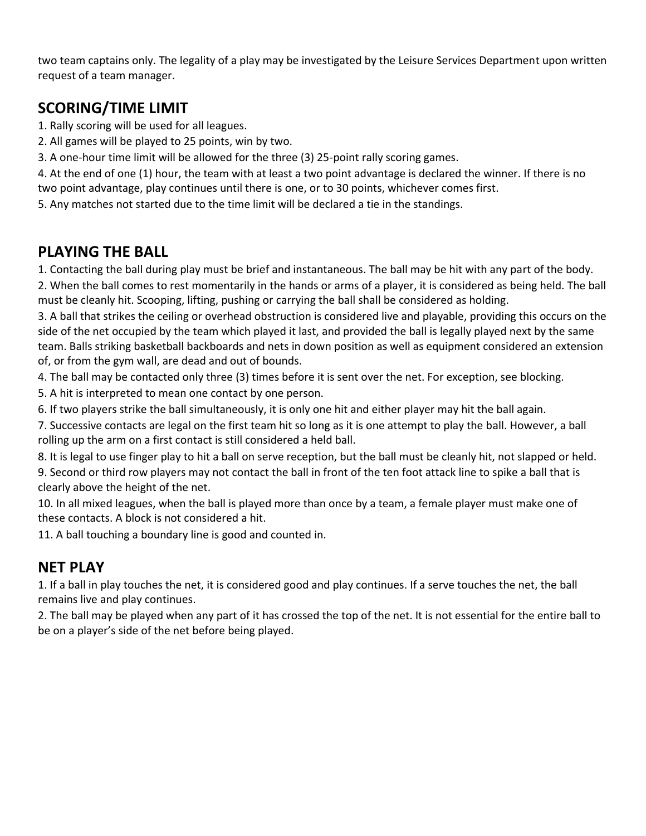two team captains only. The legality of a play may be investigated by the Leisure Services Department upon written request of a team manager.

## **SCORING/TIME LIMIT**

1. Rally scoring will be used for all leagues.

2. All games will be played to 25 points, win by two.

3. A one-hour time limit will be allowed for the three (3) 25-point rally scoring games.

4. At the end of one (1) hour, the team with at least a two point advantage is declared the winner. If there is no two point advantage, play continues until there is one, or to 30 points, whichever comes first.

5. Any matches not started due to the time limit will be declared a tie in the standings.

## **PLAYING THE BALL**

1. Contacting the ball during play must be brief and instantaneous. The ball may be hit with any part of the body.

2. When the ball comes to rest momentarily in the hands or arms of a player, it is considered as being held. The ball must be cleanly hit. Scooping, lifting, pushing or carrying the ball shall be considered as holding.

3. A ball that strikes the ceiling or overhead obstruction is considered live and playable, providing this occurs on the side of the net occupied by the team which played it last, and provided the ball is legally played next by the same team. Balls striking basketball backboards and nets in down position as well as equipment considered an extension of, or from the gym wall, are dead and out of bounds.

4. The ball may be contacted only three (3) times before it is sent over the net. For exception, see blocking.

5. A hit is interpreted to mean one contact by one person.

6. If two players strike the ball simultaneously, it is only one hit and either player may hit the ball again.

7. Successive contacts are legal on the first team hit so long as it is one attempt to play the ball. However, a ball rolling up the arm on a first contact is still considered a held ball.

8. It is legal to use finger play to hit a ball on serve reception, but the ball must be cleanly hit, not slapped or held. 9. Second or third row players may not contact the ball in front of the ten foot attack line to spike a ball that is clearly above the height of the net.

10. In all mixed leagues, when the ball is played more than once by a team, a female player must make one of these contacts. A block is not considered a hit.

11. A ball touching a boundary line is good and counted in.

## **NET PLAY**

1. If a ball in play touches the net, it is considered good and play continues. If a serve touches the net, the ball remains live and play continues.

2. The ball may be played when any part of it has crossed the top of the net. It is not essential for the entire ball to be on a player's side of the net before being played.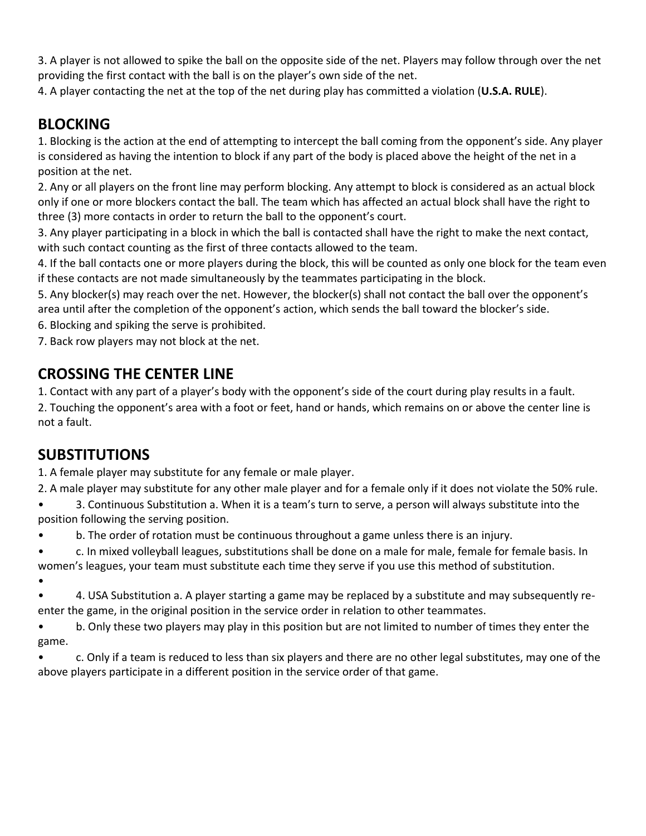3. A player is not allowed to spike the ball on the opposite side of the net. Players may follow through over the net providing the first contact with the ball is on the player's own side of the net.

4. A player contacting the net at the top of the net during play has committed a violation (**U.S.A. RULE**).

## **BLOCKING**

1. Blocking is the action at the end of attempting to intercept the ball coming from the opponent's side. Any player is considered as having the intention to block if any part of the body is placed above the height of the net in a position at the net.

2. Any or all players on the front line may perform blocking. Any attempt to block is considered as an actual block only if one or more blockers contact the ball. The team which has affected an actual block shall have the right to three (3) more contacts in order to return the ball to the opponent's court.

3. Any player participating in a block in which the ball is contacted shall have the right to make the next contact, with such contact counting as the first of three contacts allowed to the team.

4. If the ball contacts one or more players during the block, this will be counted as only one block for the team even if these contacts are not made simultaneously by the teammates participating in the block.

5. Any blocker(s) may reach over the net. However, the blocker(s) shall not contact the ball over the opponent's area until after the completion of the opponent's action, which sends the ball toward the blocker's side.

6. Blocking and spiking the serve is prohibited.

7. Back row players may not block at the net.

## **CROSSING THE CENTER LINE**

1. Contact with any part of a player's body with the opponent's side of the court during play results in a fault.

2. Touching the opponent's area with a foot or feet, hand or hands, which remains on or above the center line is not a fault.

## **SUBSTITUTIONS**

1. A female player may substitute for any female or male player.

2. A male player may substitute for any other male player and for a female only if it does not violate the 50% rule.

• 3. Continuous Substitution a. When it is a team's turn to serve, a person will always substitute into the position following the serving position.

• b. The order of rotation must be continuous throughout a game unless there is an injury.

• c. In mixed volleyball leagues, substitutions shall be done on a male for male, female for female basis. In women's leagues, your team must substitute each time they serve if you use this method of substitution.

•

• 4. USA Substitution a. A player starting a game may be replaced by a substitute and may subsequently reenter the game, in the original position in the service order in relation to other teammates.

• b. Only these two players may play in this position but are not limited to number of times they enter the game.

• c. Only if a team is reduced to less than six players and there are no other legal substitutes, may one of the above players participate in a different position in the service order of that game.